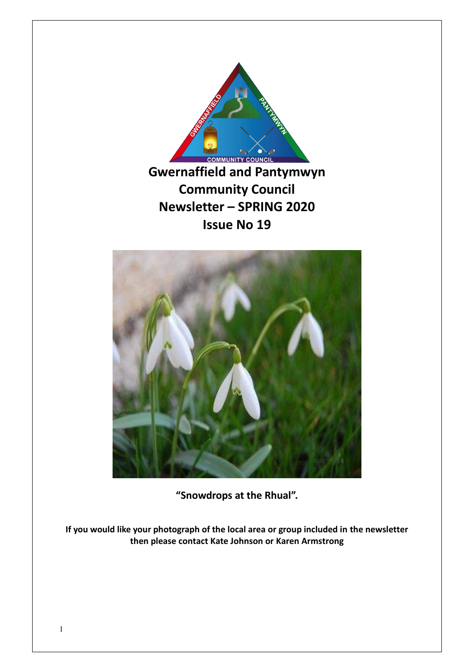



**"Snowdrops at the Rhual".**

**If you would like your photograph of the local area or group included in the newsletter then please contact Kate Johnson or Karen Armstrong**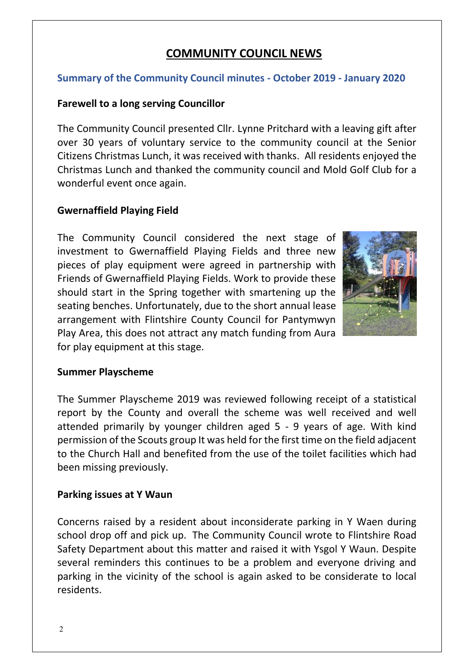# **COMMUNITY COUNCIL NEWS**

### **Summary of the Community Council minutes - October 2019 - January 2020**

### **Farewell to a long serving Councillor**

The Community Council presented Cllr. Lynne Pritchard with a leaving gift after over 30 years of voluntary service to the community council at the Senior Citizens Christmas Lunch, it was received with thanks. All residents enjoyed the Christmas Lunch and thanked the community council and Mold Golf Club for a wonderful event once again.

### **Gwernaffield Playing Field**

The Community Council considered the next stage of investment to Gwernaffield Playing Fields and three new pieces of play equipment were agreed in partnership with Friends of Gwernaffield Playing Fields. Work to provide these should start in the Spring together with smartening up the seating benches. Unfortunately, due to the short annual lease arrangement with Flintshire County Council for Pantymwyn Play Area, this does not attract any match funding from Aura for play equipment at this stage.



1

#### **Summer Playscheme**

The Summer Playscheme 2019 was reviewed following receipt of a statistical report by the County and overall the scheme was well received and well attended primarily by younger children aged 5 - 9 years of age. With kind permission of the Scouts group It was held for the first time on the field adjacent to the Church Hall and benefited from the use of the toilet facilities which had been missing previously.

#### **Parking issues at Y Waun**

Concerns raised by a resident about inconsiderate parking in Y Waen during school drop off and pick up. The Community Council wrote to Flintshire Road Safety Department about this matter and raised it with Ysgol Y Waun. Despite several reminders this continues to be a problem and everyone driving and parking in the vicinity of the school is again asked to be considerate to local residents.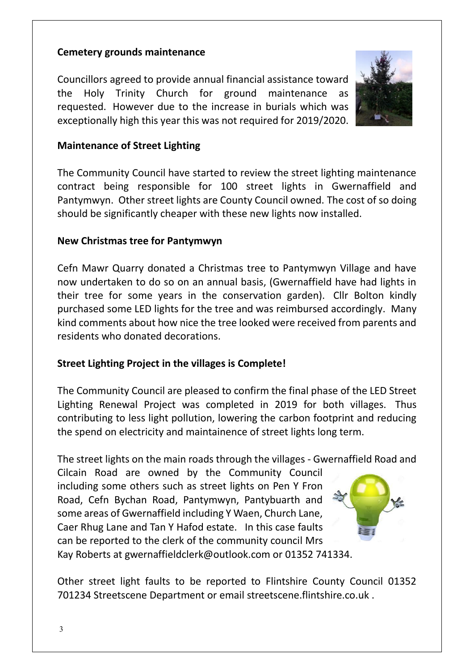### **Cemetery grounds maintenance**

Councillors agreed to provide annual financial assistance toward the Holy Trinity Church for ground maintenance as requested. However due to the increase in burials which was exceptionally high this year this was not required for 2019/2020.



### **Maintenance of Street Lighting**

The Community Council have started to review the street lighting maintenance contract being responsible for 100 street lights in Gwernaffield and Pantymwyn. Other street lights are County Council owned. The cost of so doing should be significantly cheaper with these new lights now installed.

### **New Christmas tree for Pantymwyn**

Cefn Mawr Quarry donated a Christmas tree to Pantymwyn Village and have now undertaken to do so on an annual basis, (Gwernaffield have had lights in their tree for some years in the conservation garden). Cllr Bolton kindly purchased some LED lights for the tree and was reimbursed accordingly. Many kind comments about how nice the tree looked were received from parents and residents who donated decorations.

### **Street Lighting Project in the villages is Complete!**

The Community Council are pleased to confirm the final phase of the LED Street Lighting Renewal Project was completed in 2019 for both villages. Thus contributing to less light pollution, lowering the carbon footprint and reducing the spend on electricity and maintainence of street lights long term.

The street lights on the main roads through the villages - Gwernaffield Road and

Cilcain Road are owned by the Community Council including some others such as street lights on Pen Y Fron Road, Cefn Bychan Road, Pantymwyn, Pantybuarth and some areas of Gwernaffield including Y Waen, Church Lane, Caer Rhug Lane and Tan Y Hafod estate. In this case faults can be reported to the clerk of the community council Mrs Kay Roberts at gwernaffieldclerk@outlook.com or 01352 741334.



1

Other street light faults to be reported to Flintshire County Council 01352 701234 Streetscene Department or email streetscene.flintshire.co.uk .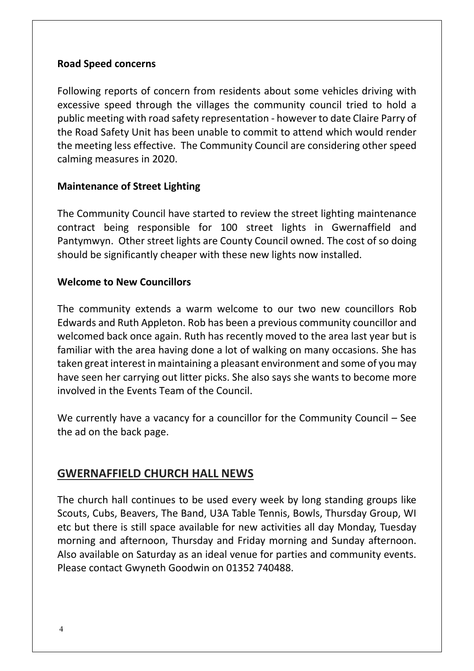### **Road Speed concerns**

Following reports of concern from residents about some vehicles driving with excessive speed through the villages the community council tried to hold a public meeting with road safety representation - however to date Claire Parry of the Road Safety Unit has been unable to commit to attend which would render the meeting less effective. The Community Council are considering other speed calming measures in 2020.

### **Maintenance of Street Lighting**

The Community Council have started to review the street lighting maintenance contract being responsible for 100 street lights in Gwernaffield and Pantymwyn. Other street lights are County Council owned. The cost of so doing should be significantly cheaper with these new lights now installed.

### **Welcome to New Councillors**

The community extends a warm welcome to our two new councillors Rob Edwards and Ruth Appleton. Rob has been a previous community councillor and welcomed back once again. Ruth has recently moved to the area last year but is familiar with the area having done a lot of walking on many occasions. She has taken great interest in maintaining a pleasant environment and some of you may have seen her carrying out litter picks. She also says she wants to become more involved in the Events Team of the Council.

We currently have a vacancy for a councillor for the Community Council – See the ad on the back page.

### **GWERNAFFIELD CHURCH HALL NEWS**

The church hall continues to be used every week by long standing groups like Scouts, Cubs, Beavers, The Band, U3A Table Tennis, Bowls, Thursday Group, WI etc but there is still space available for new activities all day Monday, Tuesday morning and afternoon, Thursday and Friday morning and Sunday afternoon. Also available on Saturday as an ideal venue for parties and community events. Please contact Gwyneth Goodwin on 01352 740488.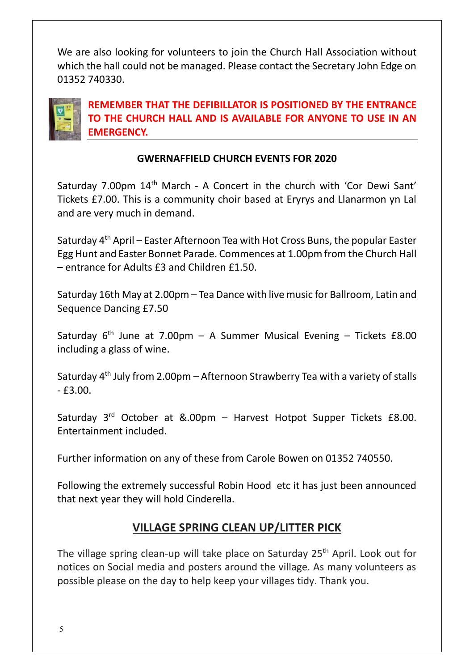We are also looking for volunteers to join the Church Hall Association without which the hall could not be managed. Please contact the Secretary John Edge on 01352 740330.



**REMEMBER THAT THE DEFIBILLATOR IS POSITIONED BY THE ENTRANCE TO THE CHURCH HALL AND IS AVAILABLE FOR ANYONE TO USE IN AN EMERGENCY.**

## **GWERNAFFIELD CHURCH EVENTS FOR 2020**

Saturday 7.00pm 14<sup>th</sup> March - A Concert in the church with 'Cor Dewi Sant' Tickets £7.00. This is a community choir based at Eryrys and Llanarmon yn Lal and are very much in demand.

Saturday 4th April – Easter Afternoon Tea with Hot Cross Buns, the popular Easter Egg Hunt and Easter Bonnet Parade. Commences at 1.00pm from the Church Hall – entrance for Adults £3 and Children £1.50.

Saturday 16th May at 2.00pm – Tea Dance with live music for Ballroom, Latin and Sequence Dancing £7.50

Saturday  $6<sup>th</sup>$  June at 7.00pm – A Summer Musical Evening – Tickets £8.00 including a glass of wine.

Saturday 4th July from 2.00pm – Afternoon Strawberry Tea with a variety of stalls  $-$  £3.00.

Saturday  $3^{rd}$  October at &.00pm – Harvest Hotpot Supper Tickets £8.00. Entertainment included.

Further information on any of these from Carole Bowen on 01352 740550.

Following the extremely successful Robin Hood etc it has just been announced that next year they will hold Cinderella.

# **VILLAGE SPRING CLEAN UP/LITTER PICK**

The village spring clean-up will take place on Saturday 25<sup>th</sup> April. Look out for notices on Social media and posters around the village. As many volunteers as possible please on the day to help keep your villages tidy. Thank you.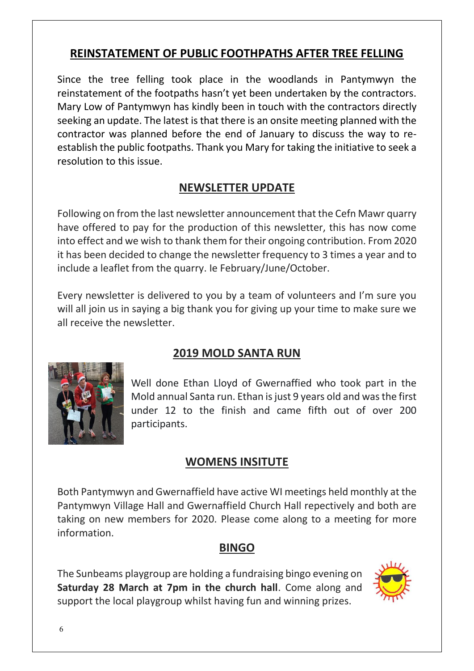# **REINSTATEMENT OF PUBLIC FOOTHPATHS AFTER TREE FELLING**

Since the tree felling took place in the woodlands in Pantymwyn the reinstatement of the footpaths hasn't yet been undertaken by the contractors. Mary Low of Pantymwyn has kindly been in touch with the contractors directly seeking an update. The latest is that there is an onsite meeting planned with the contractor was planned before the end of January to discuss the way to reestablish the public footpaths. Thank you Mary for taking the initiative to seek a resolution to this issue.

# **NEWSLETTER UPDATE**

Following on from the last newsletter announcement that the Cefn Mawr quarry have offered to pay for the production of this newsletter, this has now come into effect and we wish to thank them for their ongoing contribution. From 2020 it has been decided to change the newsletter frequency to 3 times a year and to include a leaflet from the quarry. Ie February/June/October.

Every newsletter is delivered to you by a team of volunteers and I'm sure you will all join us in saying a big thank you for giving up your time to make sure we all receive the newsletter.

# **2019 MOLD SANTA RUN**



Well done Ethan Lloyd of Gwernaffied who took part in the Mold annual Santa run. Ethan is just 9 years old and was the first under 12 to the finish and came fifth out of over 200 participants.

# **WOMENS INSITUTE**

Both Pantymwyn and Gwernaffield have active WI meetings held monthly at the Pantymwyn Village Hall and Gwernaffield Church Hall repectively and both are taking on new members for 2020. Please come along to a meeting for more information.

# **BINGO**

The Sunbeams playgroup are holding a fundraising bingo evening on **Saturday 28 March at 7pm in the church hall**. Come along and support the local playgroup whilst having fun and winning prizes.

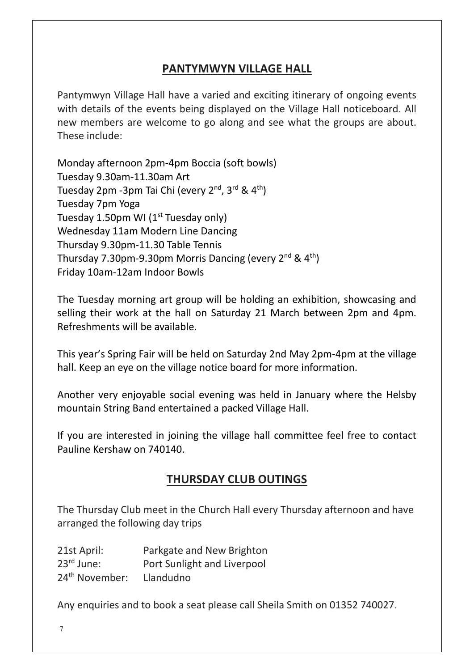# **PANTYMWYN VILLAGE HALL**

Pantymwyn Village Hall have a varied and exciting itinerary of ongoing events with details of the events being displayed on the Village Hall noticeboard. All new members are welcome to go along and see what the groups are about. These include:

Monday afternoon 2pm-4pm Boccia (soft bowls) Tuesday 9.30am-11.30am Art Tuesday 2pm -3pm Tai Chi (every 2<sup>nd</sup>, 3<sup>rd</sup> & 4<sup>th</sup>) Tuesday 7pm Yoga Tuesday 1.50pm WI ( $1<sup>st</sup>$  Tuesday only) Wednesday 11am Modern Line Dancing Thursday 9.30pm-11.30 Table Tennis Thursday 7.30pm-9.30pm Morris Dancing (every  $2^{nd}$  &  $4^{th}$ ) Friday 10am-12am Indoor Bowls

The Tuesday morning art group will be holding an exhibition, showcasing and selling their work at the hall on Saturday 21 March between 2pm and 4pm. Refreshments will be available.

This year's Spring Fair will be held on Saturday 2nd May 2pm-4pm at the village hall. Keep an eye on the village notice board for more information.

Another very enjoyable social evening was held in January where the Helsby mountain String Band entertained a packed Village Hall.

If you are interested in joining the village hall committee feel free to contact Pauline Kershaw on 740140.

# **THURSDAY CLUB OUTINGS**

The Thursday Club meet in the Church Hall every Thursday afternoon and have arranged the following day trips

| 21st April:                | Parkgate and New Brighton   |
|----------------------------|-----------------------------|
| $23^{\text{rd}}$ June:     | Port Sunlight and Liverpool |
| 24 <sup>th</sup> November: | Llandudno                   |

Any enquiries and to book a seat please call Sheila Smith on 01352 740027.